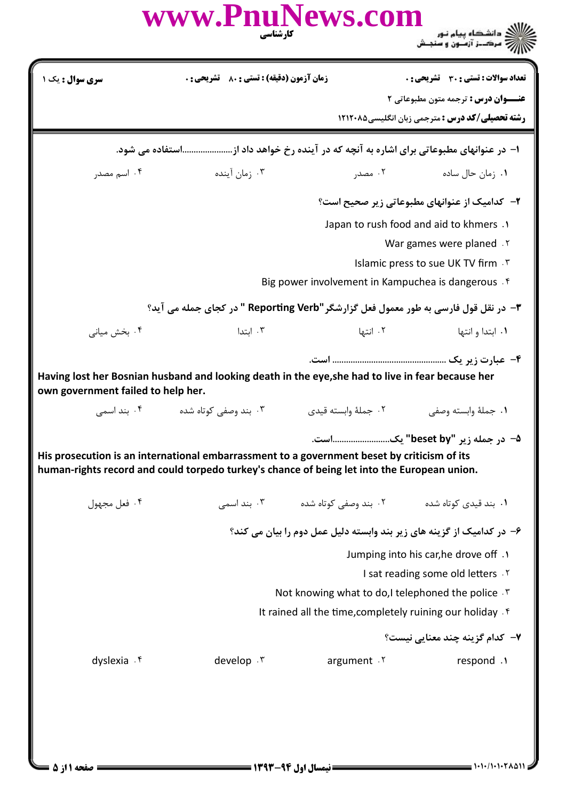|                                    | www.PnuNews.com<br>کارشناسی                                                                                                                                                                |                      |                                                                       |
|------------------------------------|--------------------------------------------------------------------------------------------------------------------------------------------------------------------------------------------|----------------------|-----------------------------------------------------------------------|
| <b>سری سوال :</b> یک ۱             | <b>زمان آزمون (دقیقه) : تستی : 80 ٪ تشریحی : 0</b>                                                                                                                                         |                      | تعداد سوالات : تستى : 30 ٪ تشريحي : 0                                 |
|                                    |                                                                                                                                                                                            |                      | <b>عنـــوان درس :</b> ترجمه متون مطبوعاتي ٢                           |
|                                    |                                                                                                                                                                                            |                      | <b>رشته تحصیلی/کد درس :</b> مترجمی زبان انگلیسی4۲۱۲۰۸۵                |
|                                    | ۱– در عنوانهای مطبوعاتی برای اشاره به آنچه که در آینده رخ خواهد داد ازاستفاده می شود.                                                                                                      |                      |                                                                       |
| ۰۴ اسم مصدر                        | ۰۳ زمان آینده                                                                                                                                                                              | ۰۲ مصدر              | ۰۱ زمان حال ساده                                                      |
|                                    |                                                                                                                                                                                            |                      | ۲- کدامیک از عنوانهای مطبوعاتی زیر صحیح است؟                          |
|                                    |                                                                                                                                                                                            |                      | Japan to rush food and aid to khmers .                                |
|                                    |                                                                                                                                                                                            |                      | War games were planed . Y                                             |
|                                    |                                                                                                                                                                                            |                      | Islamic press to sue UK TV firm . T                                   |
|                                    |                                                                                                                                                                                            |                      | Big power involvement in Kampuchea is dangerous . f                   |
|                                    | ۳- در نقل قول فارسی به طور معمول فعل گزارشگر "Reporting Verb " در کجای جمله می آید؟                                                                                                        |                      |                                                                       |
| ۰۴ بخش میانی                       | ۰۳ ابتدا                                                                                                                                                                                   | ۰۲ انتها             | ۰۱ ابتدا و انتها                                                      |
| own government failed to help her. | Having lost her Bosnian husband and looking death in the eye, she had to live in fear because her                                                                                          |                      |                                                                       |
| ۰۴ بند اسمی                        | ۰۳ بند وصفی کوتاه شده                                                                                                                                                                      | ۰۲ جملهٔ وابسته قیدی | ٠١. جملة وابسته وصفى                                                  |
|                                    |                                                                                                                                                                                            |                      | ۵− در جمله زیر "beset by" یکاست.                                      |
|                                    | His prosecution is an international embarrassment to a government beset by criticism of its<br>human-rights record and could torpedo turkey's chance of being let into the European union. |                      |                                                                       |
| ۰۴ فعل مجهول                       |                                                                                                                                                                                            |                      |                                                                       |
|                                    |                                                                                                                                                                                            |                      | ۶- در کدامیک از گزینه های زیر بند وابسته دلیل عمل دوم را بیان می کند؟ |
|                                    |                                                                                                                                                                                            |                      | Jumping into his car, he drove off .                                  |
|                                    |                                                                                                                                                                                            |                      | I sat reading some old letters . Y                                    |
|                                    |                                                                                                                                                                                            |                      | Not knowing what to do, I telephoned the police . T                   |
|                                    |                                                                                                                                                                                            |                      | It rained all the time, completely ruining our holiday $\mathfrak k$  |
|                                    |                                                                                                                                                                                            |                      | ۷– کدام گزینه چند معنایی نیست؟                                        |
| dyslexia . f                       | develop . ٣                                                                                                                                                                                | argument .Y          | respond .1                                                            |
|                                    |                                                                                                                                                                                            |                      |                                                                       |

 $= 1.1 - 11.1 - 11.011$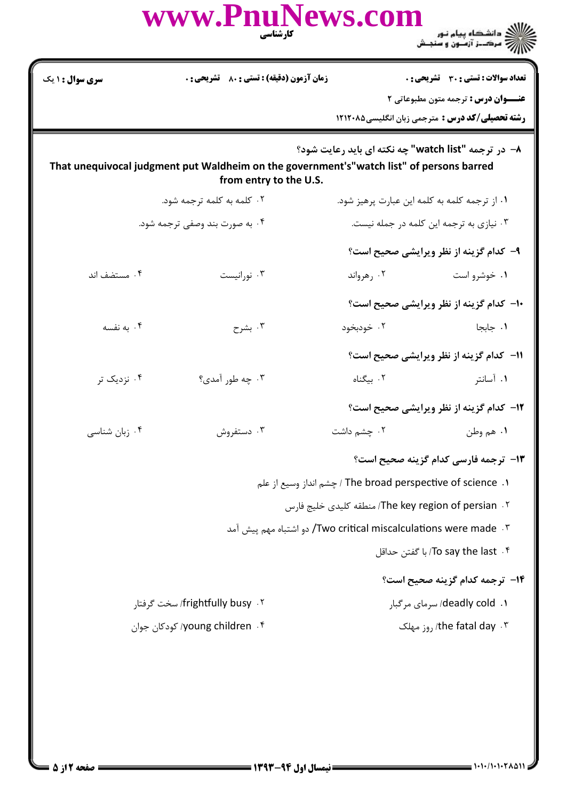|                                 | www.PnuNews.com<br>كارشناسي                                                                                        |                                          | ر دانشگاه پیام نور<br>۱۳۸۸ مرکــز آزمــون و سنجــش                                                                                            |
|---------------------------------|--------------------------------------------------------------------------------------------------------------------|------------------------------------------|-----------------------------------------------------------------------------------------------------------------------------------------------|
| سری سوال : ۱ یک                 | <b>زمان آزمون (دقیقه) : تستی : 80 ٪ تشریحی : 0</b>                                                                 |                                          | تعداد سوالات : تستى : 30 - تشريحي : 0<br><b>عنــوان درس :</b> ترجمه متون مطبوعاتی ۲<br><b>رشته تحصیلی/کد درس :</b> مترجمی زبان انگلیسی۵۸۲۱۲۰۸ |
|                                 | That unequivocal judgment put Waldheim on the government's"watch list" of persons barred<br>from entry to the U.S. |                                          | 8- در ترجمه "watch list" چه نکته ای باید رعایت شود؟                                                                                           |
|                                 | ۰۲ کلمه به کلمه ترجمه شود.                                                                                         |                                          | ٠١ از ترجمه كلمه به كلمه اين عبارت پرهيز شود.                                                                                                 |
| ۰۴ به صورت بند وصفی ترجمه شود.  |                                                                                                                    | ۰۳ نیازی به ترجمه این کلمه در جمله نیست. |                                                                                                                                               |
|                                 |                                                                                                                    |                                          | ۹- کدام گزینه از نظر ویرایشی صحیح است؟                                                                                                        |
| ۰۴ مستضف اند                    | ۰۳ نورانیست                                                                                                        | ۰۲ رهرواند                               | ۰۱ خوشرو است                                                                                                                                  |
|                                 |                                                                                                                    |                                          | ۱۰- کدام گزینه از نظر ویرایشی صحیح است؟                                                                                                       |
| ۰۴ به نفسه                      | ۰۳ بشرح                                                                                                            | ۰۲ خودبخود                               | ٠١. جابجا                                                                                                                                     |
|                                 |                                                                                                                    |                                          | 11- كدام گزينه از نظر ويرايشي صحيح است؟                                                                                                       |
| ۰۴ نزدیک تر                     | ۰۳ چه طور آمدي؟                                                                                                    | ۰۲ بیگناه                                | ۰۱ آسانتر                                                                                                                                     |
|                                 |                                                                                                                    |                                          | <b>۱۲</b> - کدام گزینه از نظر ویرایشی صحیح است؟                                                                                               |
| ۰۴ زبان شناسی                   | ۰۳ دستفروش                                                                                                         | ۰۲ چشم داشت                              | ۰۱ هم وطن                                                                                                                                     |
|                                 |                                                                                                                    |                                          | 13- ترجمه فارسي كدام گزينه صحيح است؟                                                                                                          |
|                                 |                                                                                                                    |                                          | ا جشم انداز وسيع از علم) The broad perspective of science  . ا                                                                                |
|                                 |                                                                                                                    |                                          | The key region of persian . ۲- منطقه كليدي خليج فارس                                                                                          |
|                                 | ٢. Two critical miscalculations were made/ دو اشتباه مهم پیش آمد                                                   |                                          |                                                                                                                                               |
|                                 |                                                                                                                    |                                          | ۲- To say the last/ با گفتن حداقل                                                                                                             |
|                                 |                                                                                                                    |                                          | <b>۱۴</b> - ترجمه کدام گزینه صحیح است؟                                                                                                        |
| frightfully busy . ۲ سخت گرفتار |                                                                                                                    |                                          | ا. deadly cold/ سرمای مرگبار                                                                                                                  |
| young children . ۴/ کودکان جوان |                                                                                                                    |                                          | وز مهلک, the fatal day . ٣                                                                                                                    |
|                                 |                                                                                                                    |                                          |                                                                                                                                               |
|                                 |                                                                                                                    |                                          |                                                                                                                                               |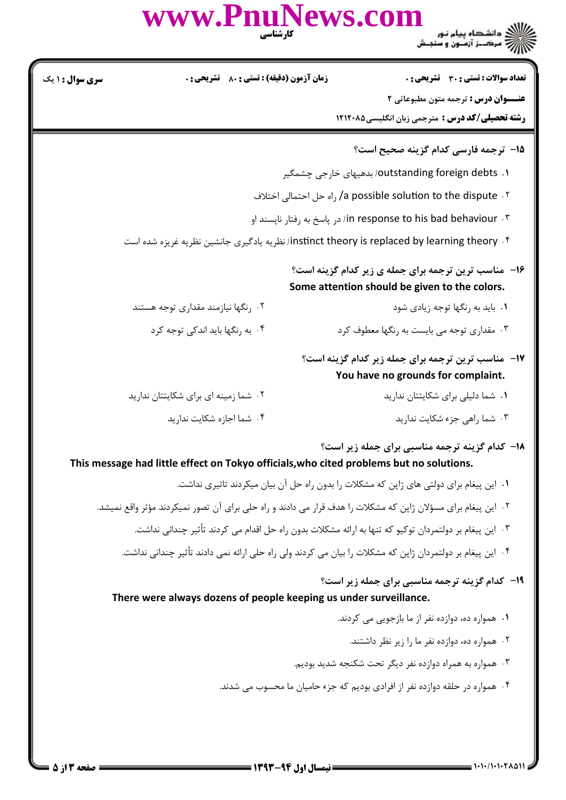| <b>سری سوال :</b> ۱ یک | <b>زمان آزمون (دقیقه) : تستی : 80 ٪ تشریحی : 0</b>                | تعداد سوالات : تستى : 30 - تشريحي : 0                                                                                                     |
|------------------------|-------------------------------------------------------------------|-------------------------------------------------------------------------------------------------------------------------------------------|
|                        |                                                                   | <b>عنــوان درس :</b> ترجمه متون مطبوعاتي ٢                                                                                                |
|                        |                                                                   | رشته تحصیلی/کد درس : مترجمی زبان انگلیسی۵۸۲۱۲۰۸۵                                                                                          |
|                        |                                                                   | 15- ترجمه فارسي كدام گزينه صحيح است؟                                                                                                      |
|                        |                                                                   | ۱. outstanding foreign debts) بدهیهای خارجی چشمگیر                                                                                        |
|                        |                                                                   | a possible solution to the dispute . ۲/ راه حل احتمالي اختلاف                                                                             |
|                        |                                                                   | in response to his bad behaviour . ٣. در ياسخ به رفتار نايسند او                                                                          |
|                        |                                                                   | instinct theory is replaced by learning theory . ۴- انظریه یادگیری جانشین نظریه غریزه شده است                                             |
|                        |                                                                   | ۰۱۶ مناسب ترین ترجمه برای جمله ی زیر کدام گزینه است؟<br>Some attention should be given to the colors.                                     |
|                        | ۰۲ رنگها نیازمند مقداری توجه هستند                                | ۰۱ باید به رنگها توجه زیادی شود                                                                                                           |
|                        | ۰۴ به رنگها باید اندکی توجه کرد                                   | ۰۳ مقداری توجه می بایست به رنگها معطوف کرد                                                                                                |
|                        |                                                                   | <b>۱۷</b> - مناسب ترین ترجمه برای جمله زیر کدام گزینه است؟<br>You have no grounds for complaint.                                          |
|                        | ۰۲ شما زمینه ای برای شکایتتان ندارید                              | ۰۱ شما دلیلی برای شکایتتان ندارید                                                                                                         |
|                        | ۰۴ شما اجازه شكايت نداريد                                         | ۰۳ شما راهی جزء شکایت ندارید                                                                                                              |
|                        |                                                                   | 18- کدام گزینه ترجمه مناسبی برای جمله زیر است؟<br>This message had little effect on Tokyo officials, who cited problems but no solutions. |
|                        |                                                                   | ٠١. اين پيغام براي دولتي هاي ژاپن كه مشكلات را بدون راه حل آن بيان ميكردند تاثيري نداشت.                                                  |
|                        |                                                                   | ۲. این پیغام برای مسؤلان ژاپن که مشکلات را هدف قرار می دادند و راه حلی برای آن تصور نمیکردند مؤثر واقع نمیشد.                             |
|                        |                                                                   | ۰۳ این پیغام بر دولتمردان توکیو که تنها به ارائه مشکلات بدون راه حل اقدام می کردند تأثیر چندانی نداشت.                                    |
|                        |                                                                   | ۰۴ این پیغام بر دولتمردان ژاپن که مشکلات را بیان می کردند ولی راه حلی ارائه نمی دادند تأثیر چندانی نداشت.                                 |
|                        | There were always dozens of people keeping us under surveillance. | <b>۱۹</b> - کدام گزینه ترجمه مناسبی برای جمله زیر است؟                                                                                    |
|                        |                                                                   | ٠١. همواره ده، دوازده نفر از ما بازجويي مي كردند.                                                                                         |
|                        |                                                                   | ۰۲ همواره ده، دوازده نفر ما را زیر نظر داشتند.                                                                                            |
|                        |                                                                   | ۰۳ همواره به همراه دوازده نفر دیگر تحت شکنجه شدید بودیم.                                                                                  |
|                        |                                                                   | ۰۴ همواره در حلقه دوازده نفر از افرادی بودیم که جزء حامیان ما محسوب می شدند.                                                              |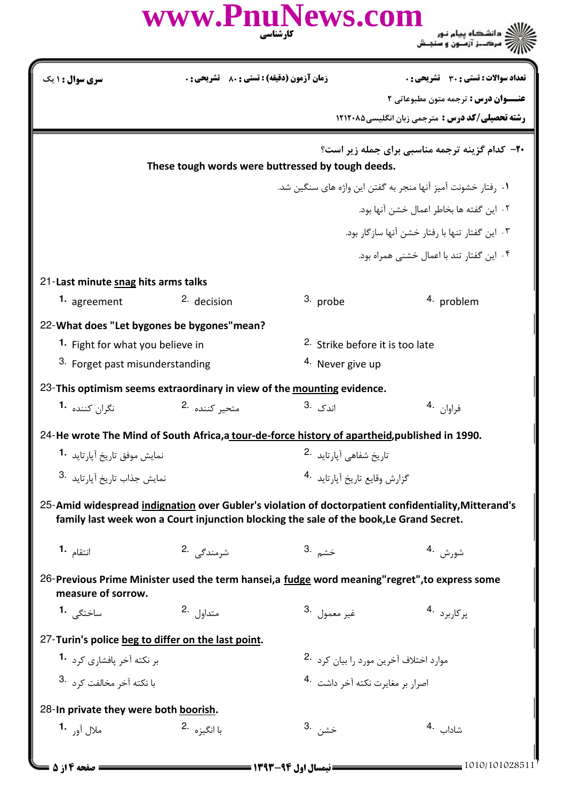|                                                                                                                      | www.PnuNews.com                                                                                | کارشناسی                                        | ک دانشگاه پیام نور<br>(7 مرکـز آزمـون و سنجـش                                                        |  |
|----------------------------------------------------------------------------------------------------------------------|------------------------------------------------------------------------------------------------|-------------------------------------------------|------------------------------------------------------------------------------------------------------|--|
| سری سوال : ۱ یک                                                                                                      | <b>زمان آزمون (دقیقه) : تستی : 80 ٪ تشریحی : 0</b>                                             |                                                 | <b>تعداد سوالات : تستی : 30 ٪ تشریحی : 0</b>                                                         |  |
|                                                                                                                      |                                                                                                |                                                 | <b>عنـــوان درس :</b> ترجمه متون مطبوعاتی 2                                                          |  |
|                                                                                                                      |                                                                                                |                                                 | <b>رشته تحصیلی/کد درس :</b> مترجمی زبان انگلیسی ۱۲۱۲۰۸۵                                              |  |
|                                                                                                                      | These tough words were buttressed by tough deeds.                                              |                                                 | <b>۲۰</b> - کدام گزینه ترجمه مناسبی برای جمله زیر است؟                                               |  |
|                                                                                                                      |                                                                                                |                                                 | ۰۱ , فتار خشونت آمیز آنها منجر به گفتن این واژه های سنگین شد.                                        |  |
|                                                                                                                      |                                                                                                |                                                 | ٢. اين گفته ها بخاطر اعمال خشن آنها بود.                                                             |  |
|                                                                                                                      |                                                                                                | ۰۳ این گفتار تنها با رفتار خشن آنها سازگار بود. |                                                                                                      |  |
|                                                                                                                      |                                                                                                |                                                 | ۴. این گفتار تند با اعمال خشنی همراه بود.                                                            |  |
| 21-Last minute snag hits arms talks                                                                                  |                                                                                                |                                                 |                                                                                                      |  |
| 1. agreement                                                                                                         | <sup>2.</sup> decision                                                                         | 3. probe                                        | <sup>4</sup> problem                                                                                 |  |
|                                                                                                                      | 22-What does "Let bygones be bygones" mean?                                                    |                                                 |                                                                                                      |  |
| <sup>1</sup> Fight for what you believe in                                                                           |                                                                                                | <sup>2.</sup> Strike before it is too late      |                                                                                                      |  |
| 3. Forget past misunderstanding                                                                                      |                                                                                                | <sup>4.</sup> Never give up                     |                                                                                                      |  |
|                                                                                                                      | 23-This optimism seems extraordinary in view of the mounting evidence.                         |                                                 |                                                                                                      |  |
| نگران کننده <b>1</b> ۰                                                                                               | متحير كننده 2.                                                                                 | اندک .3                                         | فراوان .4                                                                                            |  |
|                                                                                                                      | 24-He wrote The Mind of South Africa, a tour-de-force history of apartheid, published in 1990. |                                                 |                                                                                                      |  |
|                                                                                                                      | نمایش موفق تاریخ آیا <sub>د</sub> تاید <b>1</b> ۰                                              |                                                 | تاريخ شفاهي آيا, تايد <sup>.2</sup>                                                                  |  |
| نمایش جذاب تاریخ آیا, تائد .3                                                                                        |                                                                                                | گزارش وقايع تاريخ آيا, تايد 4.                  |                                                                                                      |  |
|                                                                                                                      | family last week won a Court injunction blocking the sale of the book, Le Grand Secret.        |                                                 | 25-Amid widespread indignation over Gubler's violation of doctorpatient confidentiality, Mitterand's |  |
| انتقام <b>1</b> ۰                                                                                                    | شرمندگے .2                                                                                     | خشم .3                                          | شورش .4                                                                                              |  |
| 26-Previous Prime Minister used the term hansei, a fudge word meaning"regret", to express some<br>measure of sorrow. |                                                                                                |                                                 |                                                                                                      |  |
| ساختگے، 1۰                                                                                                           | متداول .2                                                                                      | غير معمول <sup>3</sup> .                        | پرکاربرد .4                                                                                          |  |
|                                                                                                                      | 27-Turin's police beg to differ on the last point.                                             |                                                 |                                                                                                      |  |
| بر نکته آخر یافشا <sub>د</sub> ی کرد <b>1</b> ۰                                                                      |                                                                                                | موارد اختلاف آخرین مورد را بیان کرد 2.          |                                                                                                      |  |
|                                                                                                                      | با نكته آخر مخالفت كرد <sup>.3</sup>                                                           |                                                 | اصرار بر مغايرت نكته آخر داشت 4.                                                                     |  |
| 28-In private they were both boorish.                                                                                |                                                                                                |                                                 |                                                                                                      |  |
| ملال آور <b>1</b> ۰                                                                                                  | با انگیزه <sup>.2</sup>                                                                        | خشن .3                                          | شاداب <sup>.4</sup>                                                                                  |  |
| صفحه ۱۴; ۵ =                                                                                                         |                                                                                                | = نیمسال اول ۹۴-۱۳۹۳ =======                    | 1010/101028511                                                                                       |  |